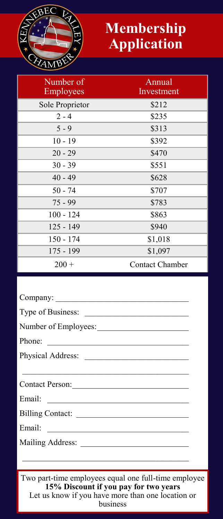

## **Membership Application**

| Number of<br>Employees | Annual<br>Investment   |
|------------------------|------------------------|
| Sole Proprietor        | \$212                  |
| $2 - 4$                | \$235                  |
| $5 - 9$                | \$313                  |
| $10 - 19$              | \$392                  |
| $20 - 29$              | \$470                  |
| $30 - 39$              | \$551                  |
| $40 - 49$              | \$628                  |
| $50 - 74$              | \$707                  |
| $75 - 99$              | \$783                  |
| $100 - 124$            | \$863                  |
| $125 - 149$            | \$940                  |
| $150 - 174$            | \$1,018                |
| $175 - 199$            | \$1,097                |
| $200 +$                | <b>Contact Chamber</b> |

| Type of Business:                                                                                                                                                                                                              |
|--------------------------------------------------------------------------------------------------------------------------------------------------------------------------------------------------------------------------------|
|                                                                                                                                                                                                                                |
| Phone:                                                                                                                                                                                                                         |
|                                                                                                                                                                                                                                |
|                                                                                                                                                                                                                                |
| Contact Person:                                                                                                                                                                                                                |
| Email: experience and a series of the series of the series of the series of the series of the series of the series of the series of the series of the series of the series of the series of the series of the series of the se |
|                                                                                                                                                                                                                                |
|                                                                                                                                                                                                                                |
|                                                                                                                                                                                                                                |
|                                                                                                                                                                                                                                |

Two part-time employees equal one full-time employee **15% Discount if you pay for two years** Let us know if you have more than one location or business